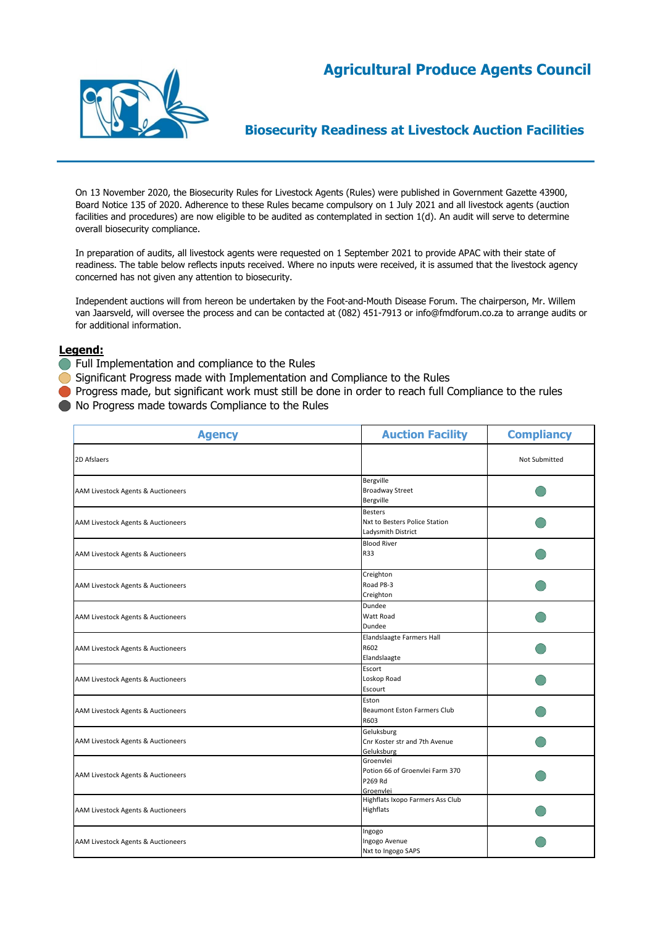# **Agricultural Produce Agents Council**



## **Biosecurity Readiness at Livestock Auction Facilities**

On 13 November 2020, the Biosecurity Rules for Livestock Agents (Rules) were published in Government Gazette 43900, Board Notice 135 of 2020. Adherence to these Rules became compulsory on 1 July 2021 and all livestock agents (auction facilities and procedures) are now eligible to be audited as contemplated in section 1(d). An audit will serve to determine overall biosecurity compliance.

In preparation of audits, all livestock agents were requested on 1 September 2021 to provide APAC with their state of readiness. The table below reflects inputs received. Where no inputs were received, it is assumed that the livestock agency concerned has not given any attention to biosecurity.

Independent auctions will from hereon be undertaken by the Foot-and-Mouth Disease Forum. The chairperson, Mr. Willem van Jaarsveld, will oversee the process and can be contacted at (082) 451-7913 or info@fmdforum.co.za to arrange audits or for additional information.

- **Full Implementation and compliance to the Rules**
- Significant Progress made with Implementation and Compliance to the Rules
- **Progress made, but significant work must still be done in order to reach full Compliance to the rules**
- No Progress made towards Compliance to the Rules

| <b>Agency</b>                      | <b>Auction Facility</b>                                               | <b>Compliancy</b> |
|------------------------------------|-----------------------------------------------------------------------|-------------------|
| 2D Afslaers                        |                                                                       | Not Submitted     |
| AAM Livestock Agents & Auctioneers | Bergville<br><b>Broadway Street</b><br>Bergville                      |                   |
| AAM Livestock Agents & Auctioneers | <b>Besters</b><br>Nxt to Besters Police Station<br>Ladysmith District |                   |
| AAM Livestock Agents & Auctioneers | <b>Blood River</b><br>R33                                             |                   |
| AAM Livestock Agents & Auctioneers | Creighton<br>Road P8-3<br>Creighton                                   |                   |
| AAM Livestock Agents & Auctioneers | Dundee<br>Watt Road<br>Dundee                                         |                   |
| AAM Livestock Agents & Auctioneers | Elandslaagte Farmers Hall<br>R602<br>Elandslaagte                     |                   |
| AAM Livestock Agents & Auctioneers | Escort<br>Loskop Road<br>Escourt                                      |                   |
| AAM Livestock Agents & Auctioneers | Eston<br><b>Beaumont Eston Farmers Club</b><br>R603                   |                   |
| AAM Livestock Agents & Auctioneers | Geluksburg<br>Cnr Koster str and 7th Avenue<br>Geluksburg             |                   |
| AAM Livestock Agents & Auctioneers | Groenvlei<br>Potion 66 of Groenvlei Farm 370<br>P269 Rd<br>Groenvlei  |                   |
| AAM Livestock Agents & Auctioneers | Highflats Ixopo Farmers Ass Club<br>Highflats                         |                   |
| AAM Livestock Agents & Auctioneers | Ingogo<br>Ingogo Avenue<br>Nxt to Ingogo SAPS                         |                   |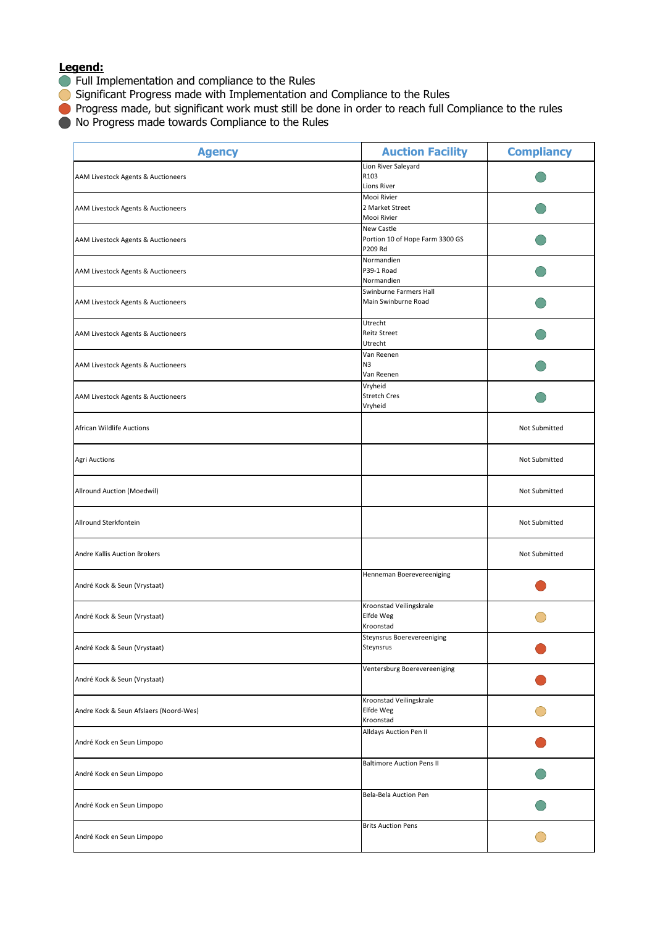- **Full Implementation and compliance to the Rules**
- Significant Progress made with Implementation and Compliance to the Rules
- **Progress made, but significant work must still be done in order to reach full Compliance to the rules**
- $\bullet$  No Progress made towards Compliance to the Rules

| <b>Agency</b>                          | <b>Auction Facility</b>                                         | <b>Compliancy</b> |
|----------------------------------------|-----------------------------------------------------------------|-------------------|
| AAM Livestock Agents & Auctioneers     | Lion River Saleyard<br>R103<br><b>Lions River</b>               |                   |
| AAM Livestock Agents & Auctioneers     | Mooi Rivier<br>2 Market Street<br>Mooi Rivier                   |                   |
| AAM Livestock Agents & Auctioneers     | <b>New Castle</b><br>Portion 10 of Hope Farm 3300 GS<br>P209 Rd |                   |
| AAM Livestock Agents & Auctioneers     | Normandien<br>P39-1 Road<br>Normandien                          |                   |
| AAM Livestock Agents & Auctioneers     | Swinburne Farmers Hall<br>Main Swinburne Road                   |                   |
| AAM Livestock Agents & Auctioneers     | Utrecht<br>Reitz Street<br>Utrecht                              |                   |
| AAM Livestock Agents & Auctioneers     | Van Reenen<br>N3<br>Van Reenen                                  |                   |
| AAM Livestock Agents & Auctioneers     | Vryheid<br><b>Stretch Cres</b><br>Vryheid                       |                   |
| <b>African Wildlife Auctions</b>       |                                                                 | Not Submitted     |
| <b>Agri Auctions</b>                   |                                                                 | Not Submitted     |
| Allround Auction (Moedwil)             |                                                                 | Not Submitted     |
| Allround Sterkfontein                  |                                                                 | Not Submitted     |
| Andre Kallis Auction Brokers           |                                                                 | Not Submitted     |
| André Kock & Seun (Vrystaat)           | Henneman Boerevereeniging                                       |                   |
| André Kock & Seun (Vrystaat)           | Kroonstad Veilingskrale<br>Elfde Weg<br>Kroonstad               |                   |
| André Kock & Seun (Vrystaat)           | Steynsrus Boerevereeniging<br>Steynsrus                         |                   |
| André Kock & Seun (Vrystaat)           | Ventersburg Boerevereeniging                                    |                   |
| Andre Kock & Seun Afslaers (Noord-Wes) | Kroonstad Veilingskrale<br>Elfde Weg<br>Kroonstad               |                   |
| André Kock en Seun Limpopo             | Alldays Auction Pen II                                          |                   |
| André Kock en Seun Limpopo             | <b>Baltimore Auction Pens II</b>                                |                   |
| André Kock en Seun Limpopo             | Bela-Bela Auction Pen                                           |                   |
| André Kock en Seun Limpopo             | <b>Brits Auction Pens</b>                                       |                   |
|                                        |                                                                 |                   |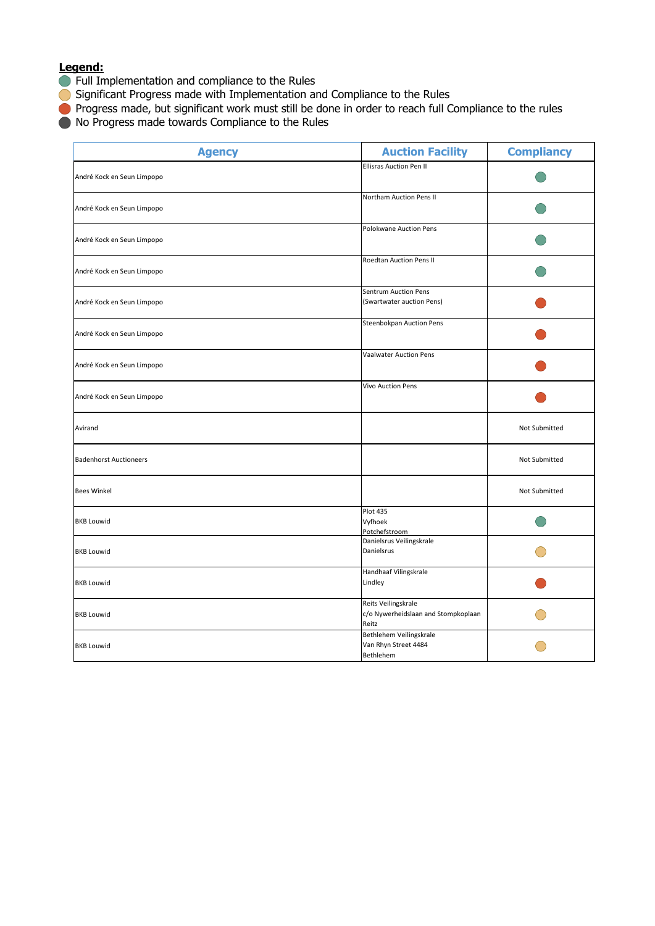- **Full Implementation and compliance to the Rules**
- Significant Progress made with Implementation and Compliance to the Rules
- **Progress made, but significant work must still be done in order to reach full Compliance to the rules**
- $\bullet$  No Progress made towards Compliance to the Rules

| <b>Agency</b>                 | <b>Auction Facility</b>                                             | <b>Compliancy</b> |
|-------------------------------|---------------------------------------------------------------------|-------------------|
| André Kock en Seun Limpopo    | <b>Ellisras Auction Pen II</b>                                      |                   |
| André Kock en Seun Limpopo    | Northam Auction Pens II                                             |                   |
| André Kock en Seun Limpopo    | Polokwane Auction Pens                                              |                   |
| André Kock en Seun Limpopo    | Roedtan Auction Pens II                                             |                   |
| André Kock en Seun Limpopo    | Sentrum Auction Pens<br>(Swartwater auction Pens)                   |                   |
| André Kock en Seun Limpopo    | Steenbokpan Auction Pens                                            |                   |
| André Kock en Seun Limpopo    | Vaalwater Auction Pens                                              |                   |
| André Kock en Seun Limpopo    | <b>Vivo Auction Pens</b>                                            |                   |
| Avirand                       |                                                                     | Not Submitted     |
| <b>Badenhorst Auctioneers</b> |                                                                     | Not Submitted     |
| <b>Bees Winkel</b>            |                                                                     | Not Submitted     |
| <b>BKB Louwid</b>             | Plot 435<br>Vyfhoek<br>Potchefstroom                                |                   |
| <b>BKB Louwid</b>             | Danielsrus Veilingskrale<br>Danielsrus                              |                   |
| <b>BKB Louwid</b>             | Handhaaf Vilingskrale<br>Lindley                                    |                   |
| <b>BKB Louwid</b>             | Reits Veilingskrale<br>c/o Nywerheidslaan and Stompkoplaan<br>Reitz |                   |
| <b>BKB Louwid</b>             | Bethlehem Veilingskrale<br>Van Rhyn Street 4484<br>Bethlehem        |                   |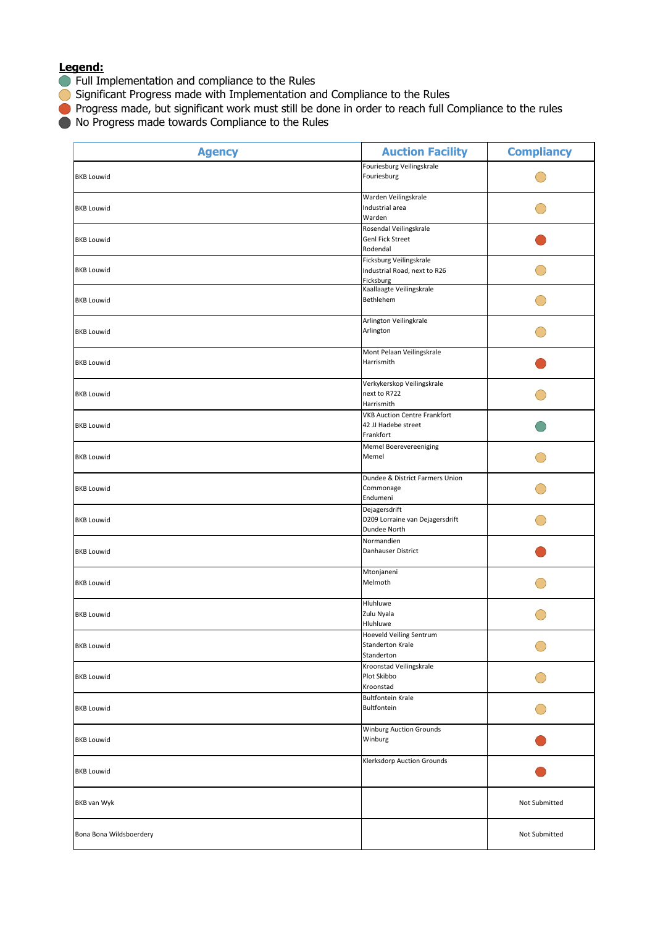- **Full Implementation and compliance to the Rules**
- Significant Progress made with Implementation and Compliance to the Rules
- **Progress made, but significant work must still be done in order to reach full Compliance to the rules**
- $\bullet$  No Progress made towards Compliance to the Rules

| <b>Agency</b>           | <b>Auction Facility</b>                                                 | <b>Compliancy</b> |
|-------------------------|-------------------------------------------------------------------------|-------------------|
| <b>BKB Louwid</b>       | Fouriesburg Veilingskrale<br>Fouriesburg                                |                   |
| <b>BKB Louwid</b>       | Warden Veilingskrale<br>Industrial area<br>Warden                       |                   |
| <b>BKB Louwid</b>       | Rosendal Veilingskrale<br><b>Genl Fick Street</b><br>Rodendal           |                   |
| <b>BKB Louwid</b>       | Ficksburg Veilingskrale<br>Industrial Road, next to R26<br>Ficksburg    |                   |
| <b>BKB Louwid</b>       | Kaallaagte Veilingskrale<br>Bethlehem                                   |                   |
| <b>BKB Louwid</b>       | Arlington Veilingkrale<br>Arlington                                     |                   |
| <b>BKB Louwid</b>       | Mont Pelaan Veilingskrale<br>Harrismith                                 |                   |
| <b>BKB Louwid</b>       | Verkykerskop Veilingskrale<br>next to R722<br>Harrismith                |                   |
| <b>BKB Louwid</b>       | <b>VKB Auction Centre Frankfort</b><br>42 JJ Hadebe street<br>Frankfort |                   |
| <b>BKB Louwid</b>       | Memel Boerevereeniging<br>Memel                                         |                   |
| <b>BKB Louwid</b>       | Dundee & District Farmers Union<br>Commonage<br>Endumeni                |                   |
| <b>BKB Louwid</b>       | Dejagersdrift<br>D209 Lorraine van Dejagersdrift<br>Dundee North        |                   |
| <b>BKB Louwid</b>       | Normandien<br>Danhauser District                                        |                   |
| <b>BKB Louwid</b>       | Mtonjaneni<br>Melmoth                                                   |                   |
| <b>BKB Louwid</b>       | Hluhluwe<br>Zulu Nyala<br>Hluhluwe                                      |                   |
| <b>BKB Louwid</b>       | Hoeveld Veiling Sentrum<br><b>Standerton Krale</b><br>Standerton        |                   |
| <b>BKB Louwid</b>       | Kroonstad Veilingskrale<br>Plot Skibbo<br>Kroonstad                     |                   |
| <b>BKB Louwid</b>       | <b>Bultfontein Krale</b><br>Bultfontein                                 |                   |
| <b>BKB Louwid</b>       | <b>Winburg Auction Grounds</b><br>Winburg                               |                   |
| <b>BKB Louwid</b>       | Klerksdorp Auction Grounds                                              |                   |
| BKB van Wyk             |                                                                         | Not Submitted     |
| Bona Bona Wildsboerdery |                                                                         | Not Submitted     |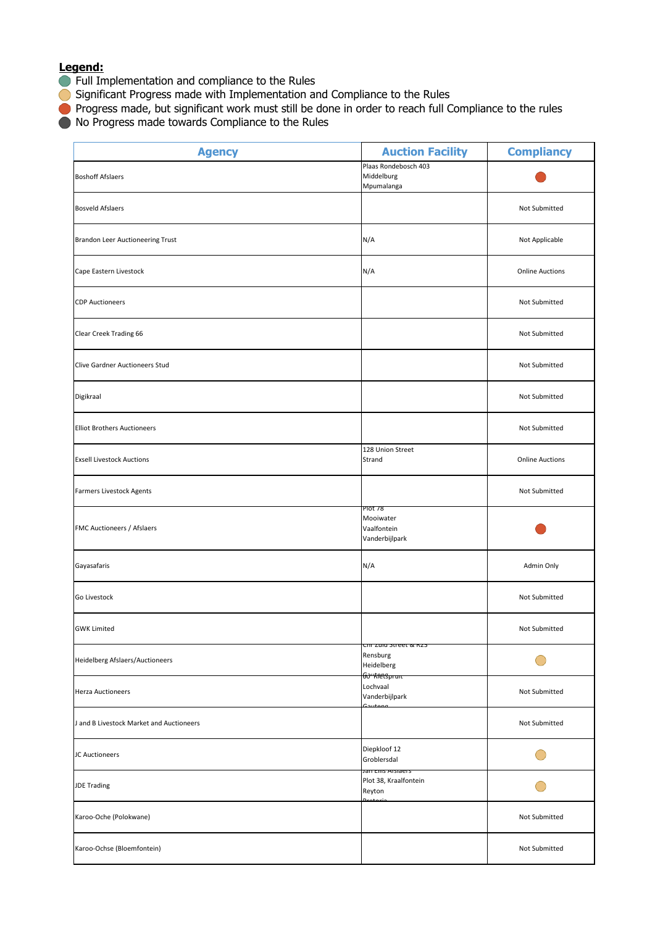- **Full Implementation and compliance to the Rules**
- Significant Progress made with Implementation and Compliance to the Rules
- **Progress made, but significant work must still be done in order to reach full Compliance to the rules**
- $\bullet$  No Progress made towards Compliance to the Rules

| <b>Agency</b>                            | <b>Auction Facility</b>                                                          | <b>Compliancy</b>      |
|------------------------------------------|----------------------------------------------------------------------------------|------------------------|
| <b>Boshoff Afslaers</b>                  | Plaas Rondebosch 403<br>Middelburg<br>Mpumalanga                                 |                        |
| <b>Bosveld Afslaers</b>                  |                                                                                  | Not Submitted          |
| Brandon Leer Auctioneering Trust         | N/A                                                                              | Not Applicable         |
| Cape Eastern Livestock                   | N/A                                                                              | <b>Online Auctions</b> |
| <b>CDP Auctioneers</b>                   |                                                                                  | Not Submitted          |
| Clear Creek Trading 66                   |                                                                                  | Not Submitted          |
| Clive Gardner Auctioneers Stud           |                                                                                  | Not Submitted          |
| Digikraal                                |                                                                                  | Not Submitted          |
| <b>Elliot Brothers Auctioneers</b>       |                                                                                  | Not Submitted          |
| <b>Exsell Livestock Auctions</b>         | 128 Union Street<br>Strand                                                       | <b>Online Auctions</b> |
| Farmers Livestock Agents                 |                                                                                  | Not Submitted          |
| FMC Auctioneers / Afslaers               | PIOT 78<br>Mooiwater<br>Vaalfontein<br>Vanderbijlpark                            |                        |
| Gayasafaris                              | N/A                                                                              | Admin Only             |
| Go Livestock                             |                                                                                  | Not Submitted          |
| <b>GWK Limited</b>                       |                                                                                  | Not Submitted          |
| Heidelberg Afslaers/Auctioneers          | <del>en zuid street &amp; Kzs</del><br>Rensburg<br>Heidelberg<br>60 * Kiersprant |                        |
| <b>Herza Auctioneers</b>                 | Lochvaal<br>Vanderbijlpark                                                       | Not Submitted          |
| J and B Livestock Market and Auctioneers |                                                                                  | Not Submitted          |
| JC Auctioneers                           | Diepkloof 12<br>Groblersdal                                                      |                        |
| <b>JDE Trading</b>                       | Jan Ellis Aislaers<br>Plot 38, Kraalfontein<br>Reyton                            |                        |
| Karoo-Oche (Polokwane)                   |                                                                                  | Not Submitted          |
| Karoo-Ochse (Bloemfontein)               |                                                                                  | Not Submitted          |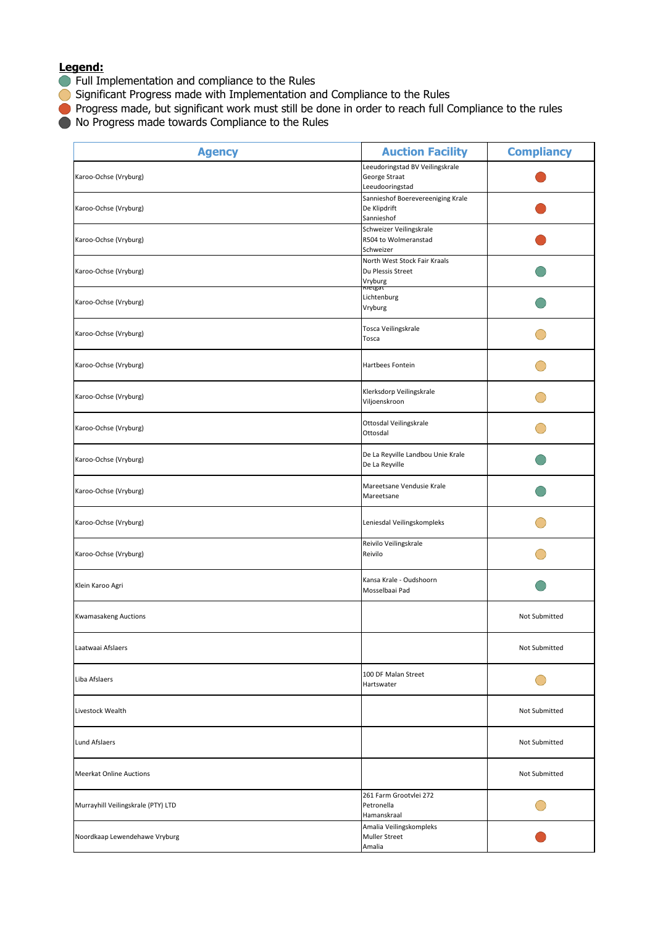- **Full Implementation and compliance to the Rules**
- Significant Progress made with Implementation and Compliance to the Rules
- **Progress made, but significant work must still be done in order to reach full Compliance to the rules**
- $\bullet$  No Progress made towards Compliance to the Rules

| <b>Agency</b>                      | <b>Auction Facility</b>                                             | <b>Compliancy</b> |
|------------------------------------|---------------------------------------------------------------------|-------------------|
| Karoo-Ochse (Vryburg)              | Leeudoringstad BV Veilingskrale<br>George Straat<br>Leeudooringstad |                   |
| Karoo-Ochse (Vryburg)              | Sannieshof Boerevereeniging Krale<br>De Klipdrift<br>Sannieshof     |                   |
| Karoo-Ochse (Vryburg)              | Schweizer Veilingskrale<br>R504 to Wolmeranstad<br>Schweizer        |                   |
| Karoo-Ochse (Vryburg)              | North West Stock Fair Kraals<br>Du Plessis Street<br>Vryburg        |                   |
| Karoo-Ochse (Vryburg)              | nietgat<br>Lichtenburg<br>Vryburg                                   |                   |
| Karoo-Ochse (Vryburg)              | Tosca Veilingskrale<br>Tosca                                        |                   |
| Karoo-Ochse (Vryburg)              | Hartbees Fontein                                                    |                   |
| Karoo-Ochse (Vryburg)              | Klerksdorp Veilingskrale<br>Viljoenskroon                           |                   |
| Karoo-Ochse (Vryburg)              | Ottosdal Veilingskrale<br>Ottosdal                                  |                   |
| Karoo-Ochse (Vryburg)              | De La Reyville Landbou Unie Krale<br>De La Reyville                 |                   |
| Karoo-Ochse (Vryburg)              | Mareetsane Vendusie Krale<br>Mareetsane                             |                   |
| Karoo-Ochse (Vryburg)              | Leniesdal Veilingskompleks                                          |                   |
| Karoo-Ochse (Vryburg)              | Reivilo Veilingskrale<br>Reivilo                                    |                   |
| Klein Karoo Agri                   | Kansa Krale - Oudshoorn<br>Mosselbaai Pad                           |                   |
| <b>Kwamasakeng Auctions</b>        |                                                                     | Not Submitted     |
| Laatwaai Afslaers                  |                                                                     | Not Submitted     |
| Liba Afslaers                      | 100 DF Malan Street<br>Hartswater                                   |                   |
| Livestock Wealth                   |                                                                     | Not Submitted     |
| Lund Afslaers                      |                                                                     | Not Submitted     |
| <b>Meerkat Online Auctions</b>     |                                                                     | Not Submitted     |
| Murrayhill Veilingskrale (PTY) LTD | 261 Farm Grootvlei 272<br>Petronella<br>Hamanskraal                 |                   |
| Noordkaap Lewendehawe Vryburg      | Amalia Veilingskompleks<br><b>Muller Street</b><br>Amalia           |                   |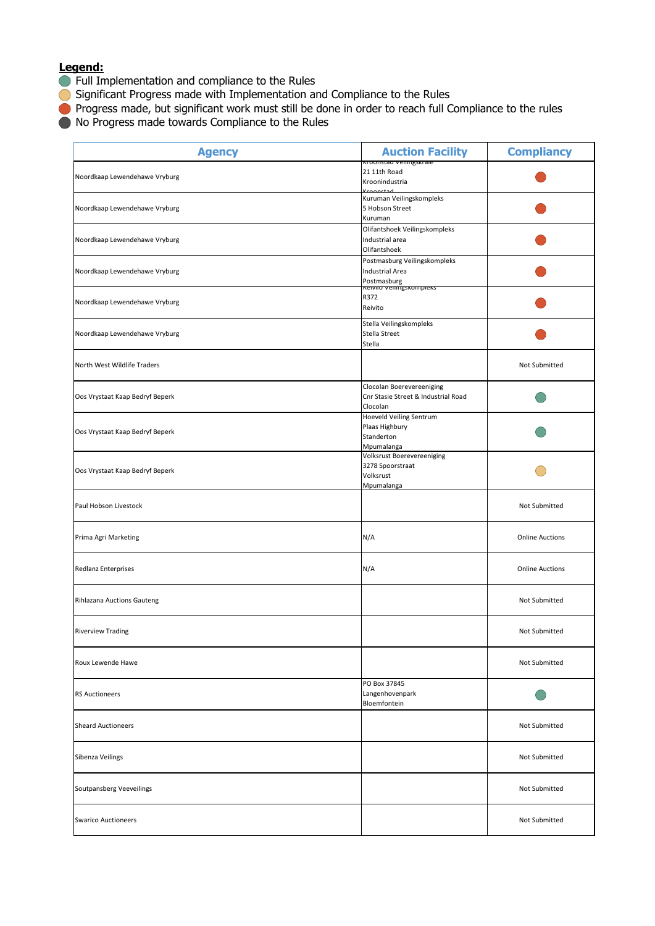- **Full Implementation and compliance to the Rules**
- Significant Progress made with Implementation and Compliance to the Rules
- **Progress made, but significant work must still be done in order to reach full Compliance to the rules**
- $\bullet$  No Progress made towards Compliance to the Rules

| <b>Agency</b>                   | <b>Auction Facility</b><br><u>Kroonstad veilingskrafe</u>                    | <b>Compliancy</b>      |
|---------------------------------|------------------------------------------------------------------------------|------------------------|
| Noordkaap Lewendehawe Vryburg   | 21 11th Road<br>Kroonindustria                                               |                        |
| Noordkaap Lewendehawe Vryburg   | Kuruman Veilingskompleks<br>5 Hobson Street<br>Kuruman                       |                        |
| Noordkaap Lewendehawe Vryburg   | Olifantshoek Veilingskompleks<br>Industrial area<br>Olifantshoek             |                        |
| Noordkaap Lewendehawe Vryburg   | Postmasburg Veilingskompleks<br><b>Industrial Area</b><br>Postmasburg        |                        |
| Noordkaap Lewendehawe Vryburg   | Reivilo veningskompleks<br>R372<br>Reivito                                   |                        |
| Noordkaap Lewendehawe Vryburg   | Stella Veilingskompleks<br>Stella Street<br>Stella                           |                        |
| North West Wildlife Traders     |                                                                              | Not Submitted          |
| Oos Vrystaat Kaap Bedryf Beperk | Clocolan Boerevereeniging<br>Cnr Stasie Street & Industrial Road<br>Clocolan |                        |
| Oos Vrystaat Kaap Bedryf Beperk | Hoeveld Veiling Sentrum<br>Plaas Highbury<br>Standerton<br>Mpumalanga        |                        |
| Oos Vrystaat Kaap Bedryf Beperk | Volksrust Boerevereeniging<br>3278 Spoorstraat<br>Volksrust<br>Mpumalanga    |                        |
| Paul Hobson Livestock           |                                                                              | Not Submitted          |
| Prima Agri Marketing            | N/A                                                                          | <b>Online Auctions</b> |
| <b>Redlanz Enterprises</b>      | N/A                                                                          | <b>Online Auctions</b> |
| Rihlazana Auctions Gauteng      |                                                                              | Not Submitted          |
| <b>Riverview Trading</b>        |                                                                              | Not Submitted          |
| Roux Lewende Hawe               |                                                                              | Not Submitted          |
| <b>RS Auctioneers</b>           | PO Box 37845<br>Langenhovenpark<br>Bloemfontein                              |                        |
| <b>Sheard Auctioneers</b>       |                                                                              | Not Submitted          |
| Sibenza Veilings                |                                                                              | Not Submitted          |
| Soutpansberg Veeveilings        |                                                                              | Not Submitted          |
| <b>Swarico Auctioneers</b>      |                                                                              | Not Submitted          |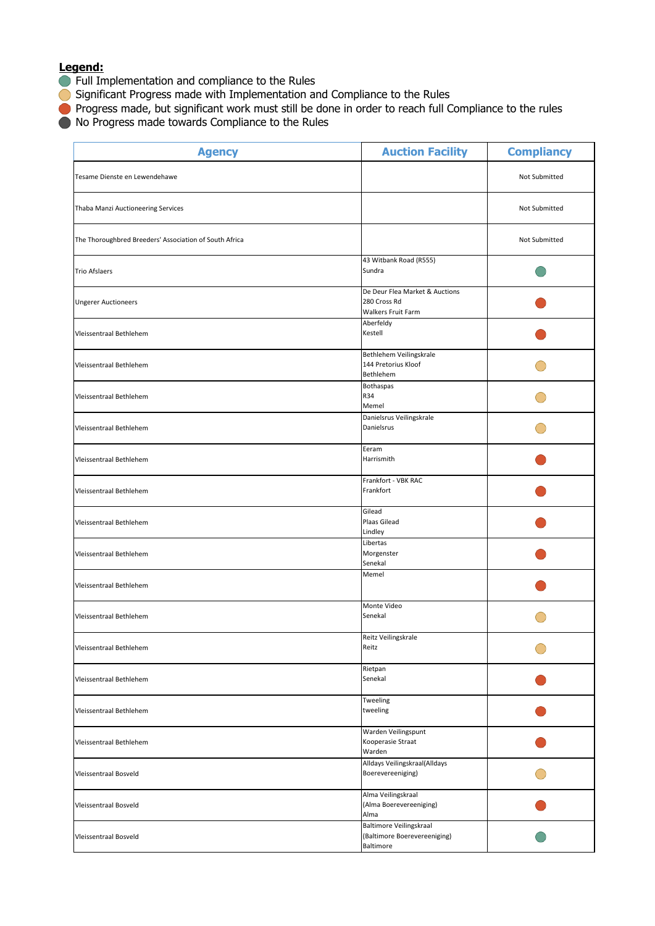- **Full Implementation and compliance to the Rules**
- Significant Progress made with Implementation and Compliance to the Rules
- **Progress made, but significant work must still be done in order to reach full Compliance to the rules**
- $\bullet$  No Progress made towards Compliance to the Rules

| <b>Agency</b>                                          | <b>Auction Facility</b>                                              | <b>Compliancy</b> |
|--------------------------------------------------------|----------------------------------------------------------------------|-------------------|
| Tesame Dienste en Lewendehawe                          |                                                                      | Not Submitted     |
| Thaba Manzi Auctioneering Services                     |                                                                      | Not Submitted     |
| The Thoroughbred Breeders' Association of South Africa |                                                                      | Not Submitted     |
| <b>Trio Afslaers</b>                                   | 43 Witbank Road (R555)<br>Sundra                                     |                   |
| <b>Ungerer Auctioneers</b>                             | De Deur Flea Market & Auctions<br>280 Cross Rd<br>Walkers Fruit Farm |                   |
| Vleissentraal Bethlehem                                | Aberfeldy<br>Kestell                                                 |                   |
| Vleissentraal Bethlehem                                | Bethlehem Veilingskrale<br>144 Pretorius Kloof<br>Bethlehem          |                   |
| Vleissentraal Bethlehem                                | <b>Bothaspas</b><br>R34<br>Memel                                     |                   |
| Vleissentraal Bethlehem                                | Danielsrus Veilingskrale<br>Danielsrus                               |                   |
| Vleissentraal Bethlehem                                | Eeram<br>Harrismith                                                  |                   |
| Vleissentraal Bethlehem                                | Frankfort - VBK RAC<br>Frankfort                                     |                   |
| Vleissentraal Bethlehem                                | Gilead<br>Plaas Gilead<br>Lindley                                    |                   |
| Vleissentraal Bethlehem                                | Libertas<br>Morgenster<br>Senekal                                    |                   |
| Vleissentraal Bethlehem                                | Memel                                                                |                   |
| Vleissentraal Bethlehem                                | Monte Video<br>Senekal                                               |                   |
| Vleissentraal Bethlehem                                | Reitz Veilingskrale<br>Reitz                                         |                   |
| Vleissentraal Bethlehem                                | Rietpan<br>Senekal                                                   |                   |
| Vleissentraal Bethlehem                                | Tweeling<br>tweeling                                                 |                   |
| Vleissentraal Bethlehem                                | Warden Veilingspunt<br>Kooperasie Straat<br>Warden                   |                   |
| <b>Vleissentraal Bosveld</b>                           | Alldays Veilingskraal(Alldays<br>Boerevereeniging)                   |                   |
| Vleissentraal Bosveld                                  | Alma Veilingskraal<br>(Alma Boerevereeniging)<br>Alma                |                   |
| Vleissentraal Bosveld                                  | Baltimore Veilingskraal<br>(Baltimore Boerevereeniging)<br>Baltimore |                   |
|                                                        |                                                                      |                   |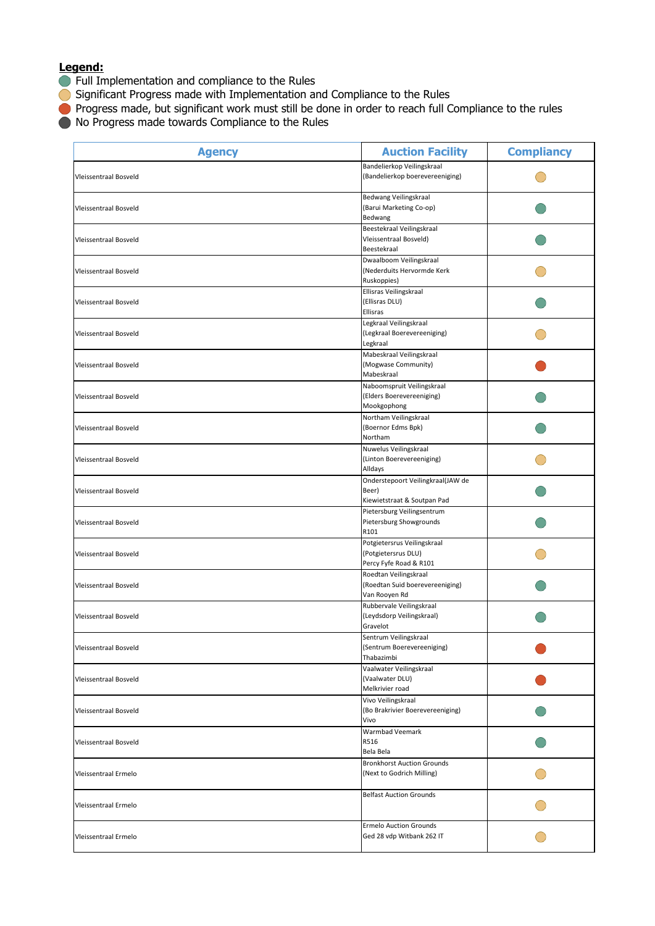- **Full Implementation and compliance to the Rules**
- Significant Progress made with Implementation and Compliance to the Rules
- **Progress made, but significant work must still be done in order to reach full Compliance to the rules**
- $\bullet$  No Progress made towards Compliance to the Rules

| <b>Agency</b>                | <b>Auction Facility</b>                                                      | <b>Compliancy</b> |
|------------------------------|------------------------------------------------------------------------------|-------------------|
| Vleissentraal Bosveld        | Bandelierkop Veilingskraal<br>(Bandelierkop boerevereeniging)                |                   |
| Vleissentraal Bosveld        | Bedwang Veilingskraal<br>(Barui Marketing Co-op)<br>Bedwang                  |                   |
| Vleissentraal Bosveld        | Beestekraal Veilingskraal<br>Vleissentraal Bosveld)<br>Beestekraal           |                   |
| Vleissentraal Bosveld        | Dwaalboom Veilingskraal<br>(Nederduits Hervormde Kerk<br>Ruskoppies)         |                   |
| Vleissentraal Bosveld        | Ellisras Veilingskraal<br>(Ellisras DLU)<br>Ellisras                         |                   |
| Vleissentraal Bosveld        | Legkraal Veilingskraal<br>(Legkraal Boerevereeniging)<br>Legkraal            |                   |
| Vleissentraal Bosveld        | Mabeskraal Veilingskraal<br>(Mogwase Community)<br>Mabeskraal                |                   |
| <b>Vleissentraal Bosveld</b> | Naboomspruit Veilingskraal<br>(Elders Boerevereeniging)<br>Mookgophong       |                   |
| Vleissentraal Bosveld        | Northam Veilingskraal<br>(Boernor Edms Bpk)<br>Northam                       |                   |
| Vleissentraal Bosveld        | Nuwelus Veilingskraal<br>(Linton Boerevereeniging)<br>Alldays                |                   |
| Vleissentraal Bosveld        | Onderstepoort Veilingkraal(JAW de<br>Beer)<br>Kiewietstraat & Soutpan Pad    |                   |
| Vleissentraal Bosveld        | Pietersburg Veilingsentrum<br>Pietersburg Showgrounds<br>R101                |                   |
| Vleissentraal Bosveld        | Potgietersrus Veilingskraal<br>(Potgietersrus DLU)<br>Percy Fyfe Road & R101 |                   |
| Vleissentraal Bosveld        | Roedtan Veilingskraal<br>(Roedtan Suid boerevereeniging)<br>Van Rooyen Rd    |                   |
| Vleissentraal Bosveld        | Rubbervale Veilingskraal<br>(Leydsdorp Veilingskraal)<br>Gravelot            |                   |
| Vleissentraal Bosveld        | Sentrum Veilingskraal<br>(Sentrum Boerevereeniging)<br>Thabazimbi            |                   |
| Vleissentraal Bosveld        | Vaalwater Veilingskraal<br>(Vaalwater DLU)<br>Melkrivier road                |                   |
| Vleissentraal Bosveld        | Vivo Veilingskraal<br>(Bo Brakrivier Boerevereeniging)<br>Vivo               |                   |
| Vleissentraal Bosveld        | Warmbad Veemark<br>R516<br>Bela Bela                                         |                   |
| Vleissentraal Ermelo         | <b>Bronkhorst Auction Grounds</b><br>(Next to Godrich Milling)               |                   |
| Vleissentraal Ermelo         | <b>Belfast Auction Grounds</b>                                               |                   |
| Vleissentraal Ermelo         | <b>Ermelo Auction Grounds</b><br>Ged 28 vdp Witbank 262 IT                   |                   |
|                              |                                                                              |                   |